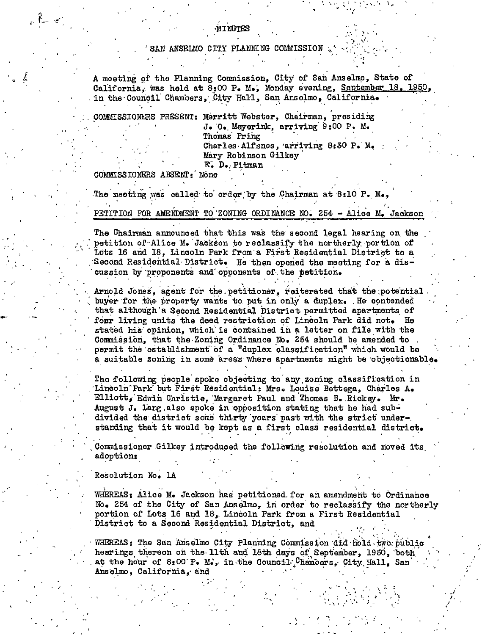### SAN ANSELMO CITY PLANNING COMMISSION

A meeting of the Planning Commission. City of San Anselmo, State of California. was held at 8:00 P. M.. Monday evening, September 18, 1950, in the Council Chambers, City Hall, San Anselmo, California.

COMMISSIONERS PRESENT: Merritt Webster, Chairman, presiding

J. O. Meyerink, arriving 9:00 P. M. Thomas Pring Charles Alfsnes, arriving 8:30 P. M. Mary Robinson Gilkey E. D. Pitman

COMMISSIONERS ABSENT: None

The meeting was called to order by the Chairman at 8:10 P. M. PETITION FOR AMENDMENT TO ZONING ORDINANCE NO. 254 - Alice M. Jackson

The Chairman announced that this was the second legal hearing on the petition of Alice M. Jackson to reclassify the northerly portion of Lots 16 and 18, Lincoln Park from a First Residential District to a Second Residential District. He then opened the meeting for a discussion by proponents and opponents of the petition.

Arnold Jones, agent for the petitioner, reiterated that the potential buyer for the property wants to put in only a duplex. He contended that although a Second Residential District permitted apartments of fonr living units the deed restriction of Lincoln Park did not. He stated his opinion, which is contained in a letter on file with the Commission, that the Zoning Ordinance No. 254 should be amended to permit the establishment of a "duplex classification" which would be a suitable zoning in some areas where apartments might be objectionable.

The following people spoke objecting to any zoning classification in Lincoln Park but First Residential: Mrs. Louise Bettega, Charles A. Elliott, Edwin Christie, Margaret Paul and Thomas B. Rickey. Mr. August J. Lang also spoke in opposition stating that he had subdivided the district some thirty years past with the strict understanding that it would be kept as a first class residential district.

Commissioner Gilkey introduced the following resolution and moved its adoption:

## Resolution No. 1A

WHEREAS: Alice M. Jackson has petitioned for an amendment to Ordinance No. 254 of the City of San Anselmo, in order to reclassify the northerly portion of Lots 16 and 18, Lincoln Park from a First Residential District to a Second Residential District, and

WHEREAS: The San Anselmo City Planning Commission did hold two public hearings thereon on the 11th and 18th days of September. 1950. both at the hour of 8:00 P. M., in the Council. Chambers, City Hall, San Anselmo, California, and

**MINUTES**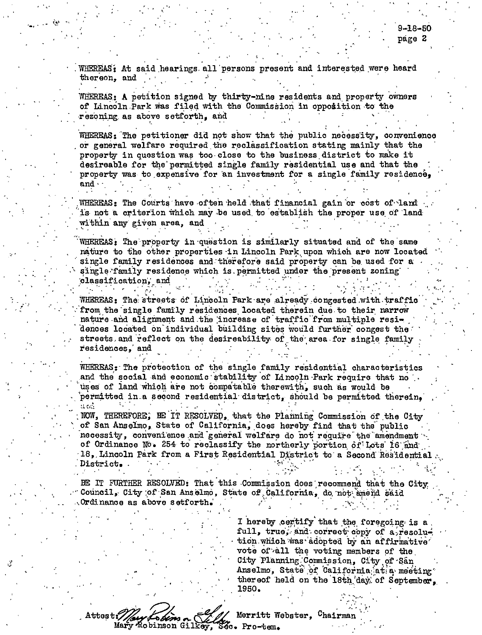WHEREAS: At said hearings all persons present and interested were heard thereon, and

WHEREAS: A petition signed by thirty-nine residents and property owners of Lincoln Park was filed with the Commission in opposition to the rezoning as above setforth, and

WHEREAS: The petitioner did not show that the public necessity, convenience or general welfare required the reclassification stating mainly that the property in question was too close to the business district to make it desireable for the permitted single family residential use and that the property was to expensive for an investment for a single family residence, and

WHEREAS: The Courts have often held that financial gain or cost of land is not a criterion which may be used to establish the proper use of land within any given area, and

WHEREAS: The property in question is similarly situated and of the same nature to the other properties in Lincoln Park upon which are now located single family residences and therefore said property can be used for a single family residence which is permitted under the present zoning classification, and

WHEREAS: The streets of Lincoln Park are already congested with traffic from the single family residences located therein due to their narrow nature and alignment and the increase of traffic from multiple residences located on individual building sites would further congest the streets and reflect on the desireability of the area for single family residences. and

WHEREAS: The protection of the single family residential characteristics and the social and economic stability of Lincoln Park require that no uses of land which are not compatable therewith, such as would be permitted in a second residential district, should be permitted therein. at atli

NOW, THEREFORE, EE IT RESOLVED, that the Planning Commission of the City of San Anselmo, State of California, does hereby find that the public necessity, convenience and general welfare do not require the amendment of Ordinance No. 254 to reclassify the northerly portion of Lots 16 and 18, Lincoln Park from a First Residential District to a Second Residential .District.

BE IT FURTHER RESOLVED: That this Commission does recommend that the City Council, City of San Anselmo, State of California, do not amend said Ordinance as above setforth.

> I hereby certify that the foregoing is a full, true, and correct copy of a resolution which was adopted by an affirmative vote of all the voting members of the City Planning Commission, City of San Anselmo, State of California at a meeting thereof held on the 18th day of September. 1950.

Attest: s*ben*s n Mary Robinson Gilkey, Sco. Pro-tem.

Merritt Webster, Chairman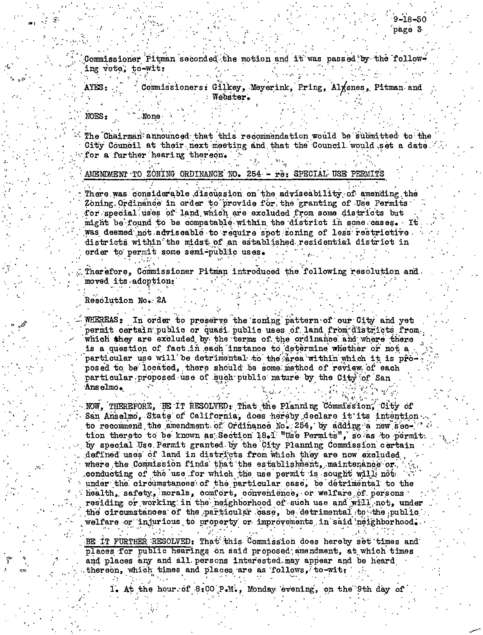Commissioner Pitman seconded the motion and it was passed by the following vote; to-wit:

AYES: Commissioners: Gilkey, Meyerink, Pring, Alxsnes, Pitman and : Webster.

NOES<sub>2</sub>

**None** 

The Chairman" announced that this recommendation would be submitted to the City Council at their next meeting and that the Council would set a date. for a further hearing thereon.

AMENDMENT TO ZONING ORDINANCE NO. 254 - re: SPECIAL USE PERMITS

There was considerable discussion on the adviseability of amending the Zoning Ordinance in order to provide for the granting of Use Permits for special uses of land which are excluded from some districts but might be found to be compatable within the district in some cases. It was deemed not adviseable to require spot zoning of less restrictive. districts within the midst of an established residential district in order to permit some semi-public uses.

Therefore. Commissioner Pitman introduced the following resolution and moved its adoption:

Resolution No. 2A

WHEREAS: In order to preserve the zoning pattern of our City and yet permit certain public or quasi public uses of land from districts from. which they are excluded by the terms of the ordinance and where there is a question of fact in each instance to determine whether or not a particular use will be detrimental to the area within which it is proposed to be located, there should be some method of review of each particular proposed use of such public nature by the City of San Anselmo.

NOW. THEREFORE, BE IT RESOLVED: That the Planning Commission, City of San Anselmo, State of California, does hereby declare it its intention. to recommend the amendment of Ordinance No. 254. by adding a new section thereto to be known as Section 18.1 "Use Permits", so as to permit. by special Use Permit granted by the City Planning Commission certain defined uses of land in districts from which they are now excluded. where the Commission finds that the establishment, maintenance or. conducting of the use for which the use permit is sought will not under the circumstances of the particular case, be detrimental to the health, safety, morals, comfort, convenience, or welfare of persons residing or working in the neighborhood of such use and will not, under the circumstances of the particular case, be detrimental to the public welfare or injurious to property or improvements in said neighborhood.

BE IT FURTHER RESOLVED: That this Commission does hereby set times and places for public hearings on said proposed amendment, at which times and places any and all persons interested may appear and be heard thereon, which times and places are as follows, to-wit:

1. At the hour of 8:00 P.M., Monday evening, on the 9th day of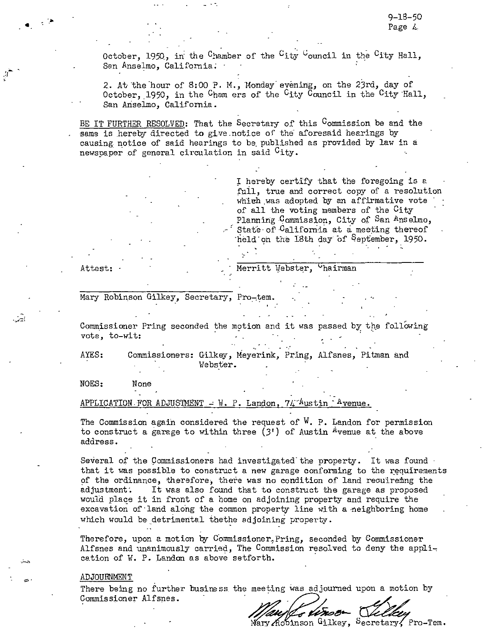October, 1950, in the Chamber of the  $C_{\text{ity}}$  Gouncil in the  $C_{\text{ity}}$  Hall, San Anselmo, California.

2. At the hour of 8:00 P. M., Monday evening, on the 23rd, day of October, 1950, in the Cham ers of the City Council in the City Hall, San Anselmo, California.

BE IT FURTHER RESOLVED: That the Secretary of this Commission be and the same is hereby directed to give notice of the aforesaid hearings by causing notice of said hearings to be published as provided by law in a newspaper of general circulation in said <sup>C</sup>ity.

> I hereby certify that the foregoing is a full, true and correct copy of a resolution which was adopted by an affirmative vote of all the voting members of the City Planning Commission, City of San Anselmo, State of California at a meeting thereof held on the 18th day of <sup>S</sup>eptember, 1950.

Attest:

Merritt Webster, "hairman

Mary Robinson Gilkey, Secretary, Pro-tem.

Commissioner Pring seconded the motion and it was passed by the following vote, to-wit:

AYES: Commissioners: Gilkey, Meyerink, Pring, Alfsnes, Pitman and Webster.

NOES: None

APPLICATION.FOR ADJUSTMENT  $- W$ . P. Landon, 74<sup>-A</sup>ustin <sup>\*</sup>Avenue.

The Commission again considered the request of  $W$ . P. Landon for permission to construct a garage to within three  $(3!)$  of Austin Avenue at the above address.

Several of the Commissioners had investigated the property. It was found that it was possible to construct a new garage conforming to the requirements of the ordinance, therefore, there was no condition of land recuireming the adjustment: It was also found that to construct the garage as proposed would place it in front of a home on adjoining property and require the excavation of land along the common property line with a neighboring home which would be detrimental thethe adjoining property.

Therefore, upon a motion by Commissioner<sub>r</sub>Pring, seconded by Commissioner Alfsnes and unanimously carried, The Commission resolved to deny the application of W. P. Landon as above setforth.

#### ADJOURNMENT

There being no further business the meeting was adjourned upon a motion by Commissioner Alfsnes.

Mary Acbinson Gilkey, Secretary, Pro-Tem.